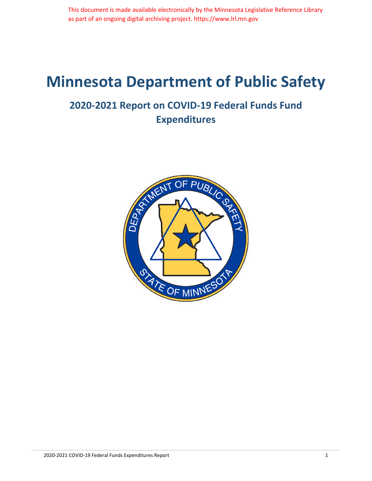# **Minnesota Department of Public Safety**

#### **2020-2021 Report on COVID-19 Federal Funds Fund Expenditures**

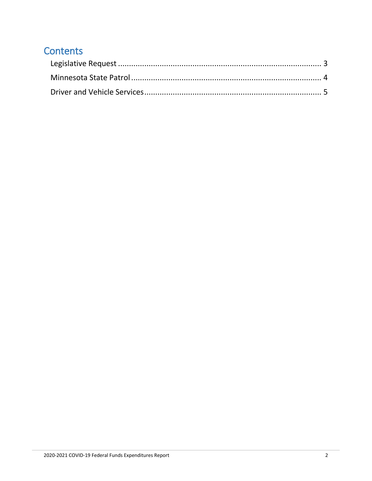#### **Contents**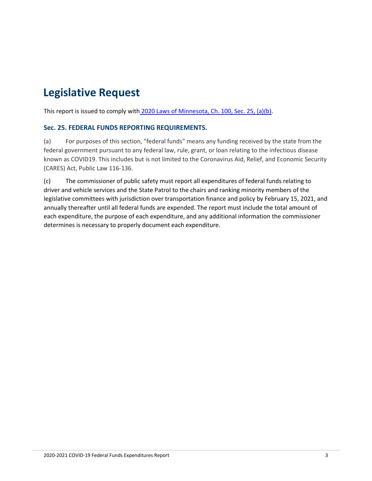## <span id="page-2-0"></span>**Legislative Request**

This report is issued to comply with [2020 Laws of Minnesota, Ch. 100, Sec. 25, \(a\)\(b\).](https://www.revisor.mn.gov/laws/2020/0/Session+Law/Chapter/100/)

#### **Sec. 25. FEDERAL FUNDS REPORTING REQUIREMENTS.**

(a) For purposes of this section, "federal funds" means any funding received by the state from the federal government pursuant to any federal law, rule, grant, or loan relating to the infectious disease known as COVID19. This includes but is not limited to the Coronavirus Aid, Relief, and Economic Security (CARES) Act, Public Law 116-136.

(c) The commissioner of public safety must report all expenditures of federal funds relating to driver and vehicle services and the State Patrol to the chairs and ranking minority members of the legislative committees with jurisdiction over transportation finance and policy by February 15, 2021, and annually thereafter until all federal funds are expended. The report must include the total amount of each expenditure, the purpose of each expenditure, and any additional information the commissioner determines is necessary to properly document each expenditure.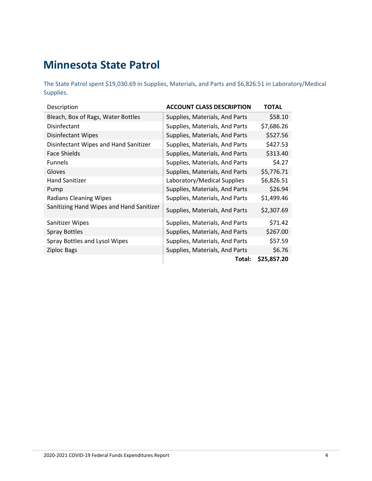#### <span id="page-3-0"></span>**Minnesota State Patrol**

The State Patrol spent \$19,030.69 in Supplies, Materials, and Parts and \$6,826.51 in Laboratory/Medical Supplies.

| Description                              | <b>ACCOUNT CLASS DESCRIPTION</b> | <b>TOTAL</b> |
|------------------------------------------|----------------------------------|--------------|
| Bleach, Box of Rags, Water Bottles       | Supplies, Materials, And Parts   | \$58.10      |
| Disinfectant                             | Supplies, Materials, And Parts   | \$7,686.26   |
| <b>Disinfectant Wipes</b>                | Supplies, Materials, And Parts   | \$527.56     |
| Disinfectant Wipes and Hand Sanitizer    | Supplies, Materials, And Parts   | \$427.53     |
| <b>Face Shields</b>                      | Supplies, Materials, And Parts   | \$313.40     |
| <b>Funnels</b>                           | Supplies, Materials, And Parts   | \$4.27       |
| Gloves                                   | Supplies, Materials, And Parts   | \$5,776.71   |
| <b>Hand Sanitizer</b>                    | Laboratory/Medical Supplies      | \$6,826.51   |
| Pump                                     | Supplies, Materials, And Parts   | \$26.94      |
| <b>Radians Cleaning Wipes</b>            | Supplies, Materials, And Parts   | \$1,499.46   |
| Sanitizing Hand Wipes and Hand Sanitizer | Supplies, Materials, And Parts   | \$2,307.69   |
| Sanitizer Wipes                          | Supplies, Materials, And Parts   | \$71.42      |
| <b>Spray Bottles</b>                     | Supplies, Materials, And Parts   | \$267.00     |
| Spray Bottles and Lysol Wipes            | Supplies, Materials, And Parts   | \$57.59      |
| <b>Ziploc Bags</b>                       | Supplies, Materials, And Parts   | \$6.76       |
|                                          | Total:                           | \$25,857.20  |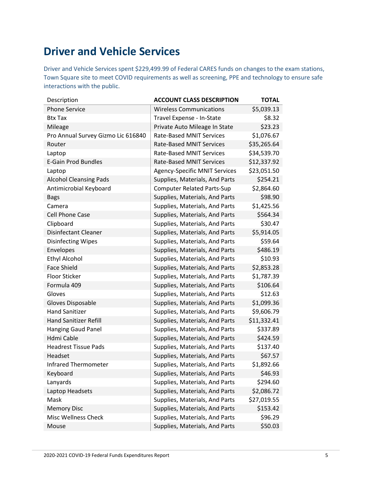### <span id="page-4-0"></span>**Driver and Vehicle Services**

Driver and Vehicle Services spent \$229,499.99 of Federal CARES funds on changes to the exam stations, Town Square site to meet COVID requirements as well as screening, PPE and technology to ensure safe interactions with the public.

| Description                        | <b>ACCOUNT CLASS DESCRIPTION</b>     | <b>TOTAL</b> |
|------------------------------------|--------------------------------------|--------------|
| <b>Phone Service</b>               | <b>Wireless Communications</b>       | \$5,039.13   |
| <b>Btx Tax</b>                     | Travel Expense - In-State            | \$8.32       |
| Mileage                            | Private Auto Mileage In State        | \$23.23      |
| Pro Annual Survey Gizmo Lic 616840 | <b>Rate-Based MNIT Services</b>      | \$1,076.67   |
| Router                             | <b>Rate-Based MNIT Services</b>      | \$35,265.64  |
| Laptop                             | <b>Rate-Based MNIT Services</b>      | \$34,539.70  |
| <b>E-Gain Prod Bundles</b>         | <b>Rate-Based MNIT Services</b>      | \$12,337.92  |
| Laptop                             | <b>Agency-Specific MNIT Services</b> | \$23,051.50  |
| <b>Alcohol Cleansing Pads</b>      | Supplies, Materials, And Parts       | \$254.21     |
| Antimicrobial Keyboard             | <b>Computer Related Parts-Sup</b>    | \$2,864.60   |
| <b>Bags</b>                        | Supplies, Materials, And Parts       | \$98.90      |
| Camera                             | Supplies, Materials, And Parts       | \$1,425.56   |
| <b>Cell Phone Case</b>             | Supplies, Materials, And Parts       | \$564.34     |
| Clipboard                          | Supplies, Materials, And Parts       | \$30.47      |
| <b>Disinfectant Cleaner</b>        | Supplies, Materials, And Parts       | \$5,914.05   |
| <b>Disinfecting Wipes</b>          | Supplies, Materials, And Parts       | \$59.64      |
| Envelopes                          | Supplies, Materials, And Parts       | \$486.19     |
| <b>Ethyl Alcohol</b>               | Supplies, Materials, And Parts       | \$10.93      |
| <b>Face Shield</b>                 | Supplies, Materials, And Parts       | \$2,853.28   |
| <b>Floor Sticker</b>               | Supplies, Materials, And Parts       | \$1,787.39   |
| Formula 409                        | Supplies, Materials, And Parts       | \$106.64     |
| Gloves                             | Supplies, Materials, And Parts       | \$12.63      |
| Gloves Disposable                  | Supplies, Materials, And Parts       | \$1,099.36   |
| <b>Hand Sanitizer</b>              | Supplies, Materials, And Parts       | \$9,606.79   |
| <b>Hand Sanitizer Refill</b>       | Supplies, Materials, And Parts       | \$11,332.41  |
| <b>Hanging Gaud Panel</b>          | Supplies, Materials, And Parts       | \$337.89     |
| Hdmi Cable                         | Supplies, Materials, And Parts       | \$424.59     |
| <b>Headrest Tissue Pads</b>        | Supplies, Materials, And Parts       | \$137.40     |
| Headset                            | Supplies, Materials, And Parts       | \$67.57      |
| <b>Infrared Thermometer</b>        | Supplies, Materials, And Parts       | \$1,892.66   |
| Keyboard                           | Supplies, Materials, And Parts       | \$46.93      |
| Lanyards                           | Supplies, Materials, And Parts       | \$294.60     |
| Laptop Headsets                    | Supplies, Materials, And Parts       | \$2,086.72   |
| Mask                               | Supplies, Materials, And Parts       | \$27,019.55  |
| <b>Memory Disc</b>                 | Supplies, Materials, And Parts       | \$153.42     |
| <b>Misc Wellness Check</b>         | Supplies, Materials, And Parts       | \$96.29      |
| Mouse                              | Supplies, Materials, And Parts       | \$50.03      |